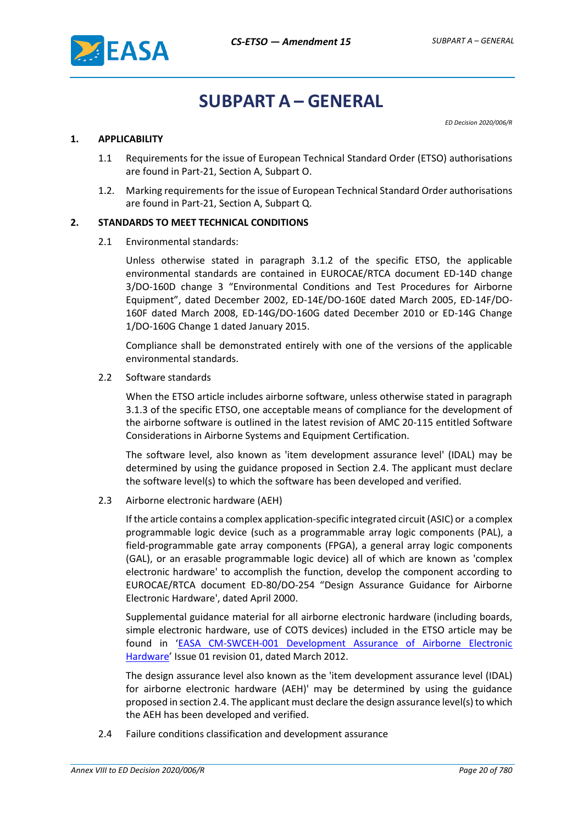

## **SUBPART A – GENERAL**

*ED Decision 2020/006/R*

## **1. APPLICABILITY**

- 1.1 Requirements for the issue of European Technical Standard Order (ETSO) authorisations are found in Part-21, Section A, Subpart O.
- 1.2. Marking requirements for the issue of European Technical Standard Order authorisations are found in Part-21, Section A, Subpart Q.

## **2. STANDARDS TO MEET TECHNICAL CONDITIONS**

2.1 Environmental standards:

Unless otherwise stated in paragraph 3.1.2 of the specific ETSO, the applicable environmental standards are contained in EUROCAE/RTCA document ED-14D change 3/DO-160D change 3 "Environmental Conditions and Test Procedures for Airborne Equipment", dated December 2002, ED-14E/DO-160E dated March 2005, ED-14F/DO-160F dated March 2008, ED-14G/DO-160G dated December 2010 or ED-14G Change 1/DO-160G Change 1 dated January 2015.

Compliance shall be demonstrated entirely with one of the versions of the applicable environmental standards.

2.2 Software standards

When the ETSO article includes airborne software, unless otherwise stated in paragraph 3.1.3 of the specific ETSO, one acceptable means of compliance for the development of the airborne software is outlined in the latest revision of AMC 20-115 entitled Software Considerations in Airborne Systems and Equipment Certification.

The software level, also known as 'item development assurance level' (IDAL) may be determined by using the guidance proposed in Section 2.4. The applicant must declare the software level(s) to which the software has been developed and verified.

2.3 Airborne electronic hardware (AEH)

If the article contains a complex application-specific integrated circuit (ASIC) or a complex programmable logic device (such as a programmable array logic components (PAL), a field-programmable gate array components (FPGA), a general array logic components (GAL), or an erasable programmable logic device) all of which are known as 'complex electronic hardware' to accomplish the function, develop the component according to EUROCAE/RTCA document ED-80/DO-254 "Design Assurance Guidance for Airborne Electronic Hardware', dated April 2000.

Supplemental guidance material for all airborne electronic hardware (including boards, simple electronic hardware, use of COTS devices) included in the ETSO article may be found in '[EASA CM-SWCEH-001 Development Assurance of Airborne Electronic](http://easa.europa.eu/certification/docs/certification-memorandum/EASA%20CM-SWCEH-001%20Issue%2001%20Rev%2001%20Development%20Assurance%20of%20Airborne%20Electronic%20Hardware.pdf) [Hardware](http://easa.europa.eu/certification/docs/certification-memorandum/EASA%20CM-SWCEH-001%20Issue%2001%20Rev%2001%20Development%20Assurance%20of%20Airborne%20Electronic%20Hardware.pdf)' Issue 01 revision 01, dated March 2012.

The design assurance level also known as the 'item development assurance level (IDAL) for airborne electronic hardware (AEH)' may be determined by using the guidance proposed in section 2.4. The applicant must declare the design assurance level(s) to which the AEH has been developed and verified.

2.4 Failure conditions classification and development assurance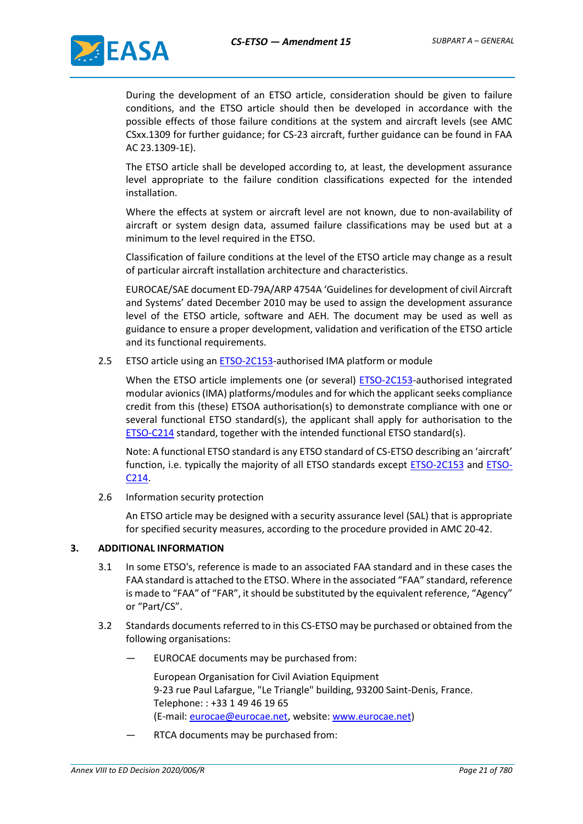During the development of an ETSO article, consideration should be given to failure conditions, and the ETSO article should then be developed in accordance with the possible effects of those failure conditions at the system and aircraft levels (see AMC CSxx.1309 for further guidance; for CS-23 aircraft, further guidance can be found in FAA AC 23.1309-1E).

The ETSO article shall be developed according to, at least, the development assurance level appropriate to the failure condition classifications expected for the intended installation.

Where the effects at system or aircraft level are not known, due to non-availability of aircraft or system design data, assumed failure classifications may be used but at a minimum to the level required in the ETSO.

Classification of failure conditions at the level of the ETSO article may change as a result of particular aircraft installation architecture and characteristics.

EUROCAE/SAE document ED-79A/ARP 4754A 'Guidelines for development of civil Aircraft and Systems' dated December 2010 may be used to assign the development assurance level of the ETSO article, software and AEH. The document may be used as well as guidance to ensure a proper development, validation and verification of the ETSO article and its functional requirements.

2.5 ETSO article using an ETSO-2C153-authorised IMA platform or module

When the ETSO article implements one (or several) ETSO-2C153-authorised integrated modular avionics (IMA) platforms/modules and for which the applicant seeks compliance credit from this (these) ETSOA authorisation(s) to demonstrate compliance with one or several functional ETSO standard(s), the applicant shall apply for authorisation to the ETSO-C214 standard, together with the intended functional ETSO standard(s).

Note: A functional ETSO standard is any ETSO standard of CS-ETSO describing an 'aircraft' function, i.e. typically the majority of all ETSO standards except **ETSO-2C153** and **ETSO-**C214.

2.6 Information security protection

An ETSO article may be designed with a security assurance level (SAL) that is appropriate for specified security measures, according to the procedure provided in AMC 20-42.

## **3. ADDITIONAL INFORMATION**

- 3.1 In some ETSO's, reference is made to an associated FAA standard and in these cases the FAA standard is attached to the ETSO. Where in the associated "FAA" standard, reference is made to "FAA" of "FAR", it should be substituted by the equivalent reference, "Agency" or "Part/CS".
- 3.2 Standards documents referred to in this CS-ETSO may be purchased or obtained from the following organisations:
	- EUROCAE documents may be purchased from:

European Organisation for Civil Aviation Equipment 9-23 rue Paul Lafargue, "Le Triangle" building, 93200 Saint-Denis, France. Telephone: : +33 1 49 46 19 65 (E-mail[: eurocae@eurocae.net,](mailto:eurocae@eurocae.net) website[: www.eurocae.net\)](http://www.eurocae.net/)

— RTCA documents may be purchased from: